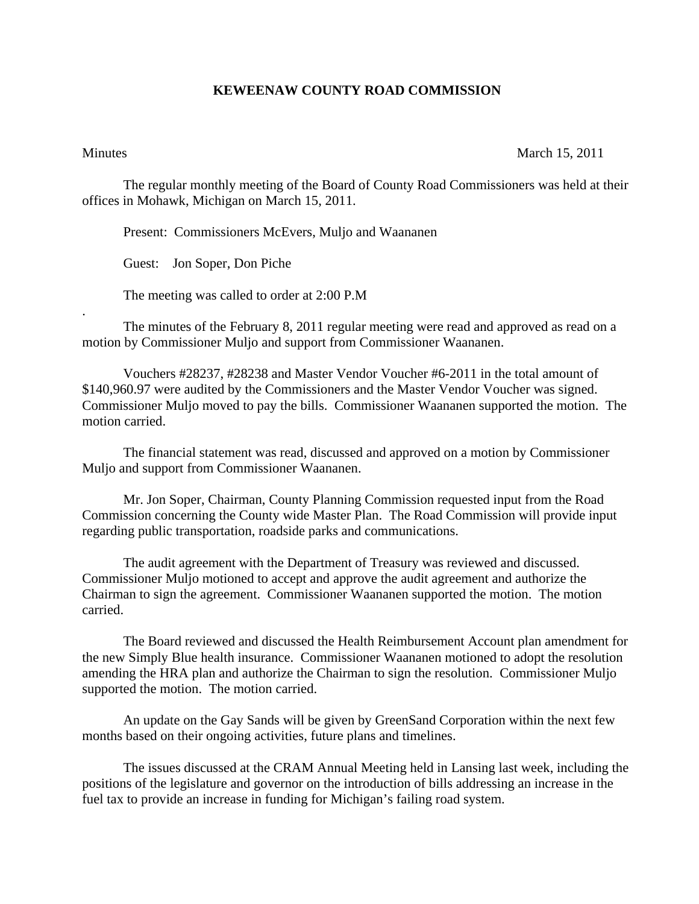## **KEWEENAW COUNTY ROAD COMMISSION**

.

## Minutes March 15, 2011

The regular monthly meeting of the Board of County Road Commissioners was held at their offices in Mohawk, Michigan on March 15, 2011.

Present: Commissioners McEvers, Muljo and Waananen

Guest: Jon Soper, Don Piche

The meeting was called to order at 2:00 P.M

 The minutes of the February 8, 2011 regular meeting were read and approved as read on a motion by Commissioner Muljo and support from Commissioner Waananen.

 Vouchers #28237, #28238 and Master Vendor Voucher #6-2011 in the total amount of \$140,960.97 were audited by the Commissioners and the Master Vendor Voucher was signed. Commissioner Muljo moved to pay the bills. Commissioner Waananen supported the motion. The motion carried.

 The financial statement was read, discussed and approved on a motion by Commissioner Muljo and support from Commissioner Waananen.

 Mr. Jon Soper, Chairman, County Planning Commission requested input from the Road Commission concerning the County wide Master Plan. The Road Commission will provide input regarding public transportation, roadside parks and communications.

 The audit agreement with the Department of Treasury was reviewed and discussed. Commissioner Muljo motioned to accept and approve the audit agreement and authorize the Chairman to sign the agreement. Commissioner Waananen supported the motion. The motion carried.

 The Board reviewed and discussed the Health Reimbursement Account plan amendment for the new Simply Blue health insurance. Commissioner Waananen motioned to adopt the resolution amending the HRA plan and authorize the Chairman to sign the resolution. Commissioner Muljo supported the motion. The motion carried.

 An update on the Gay Sands will be given by GreenSand Corporation within the next few months based on their ongoing activities, future plans and timelines.

 The issues discussed at the CRAM Annual Meeting held in Lansing last week, including the positions of the legislature and governor on the introduction of bills addressing an increase in the fuel tax to provide an increase in funding for Michigan's failing road system.